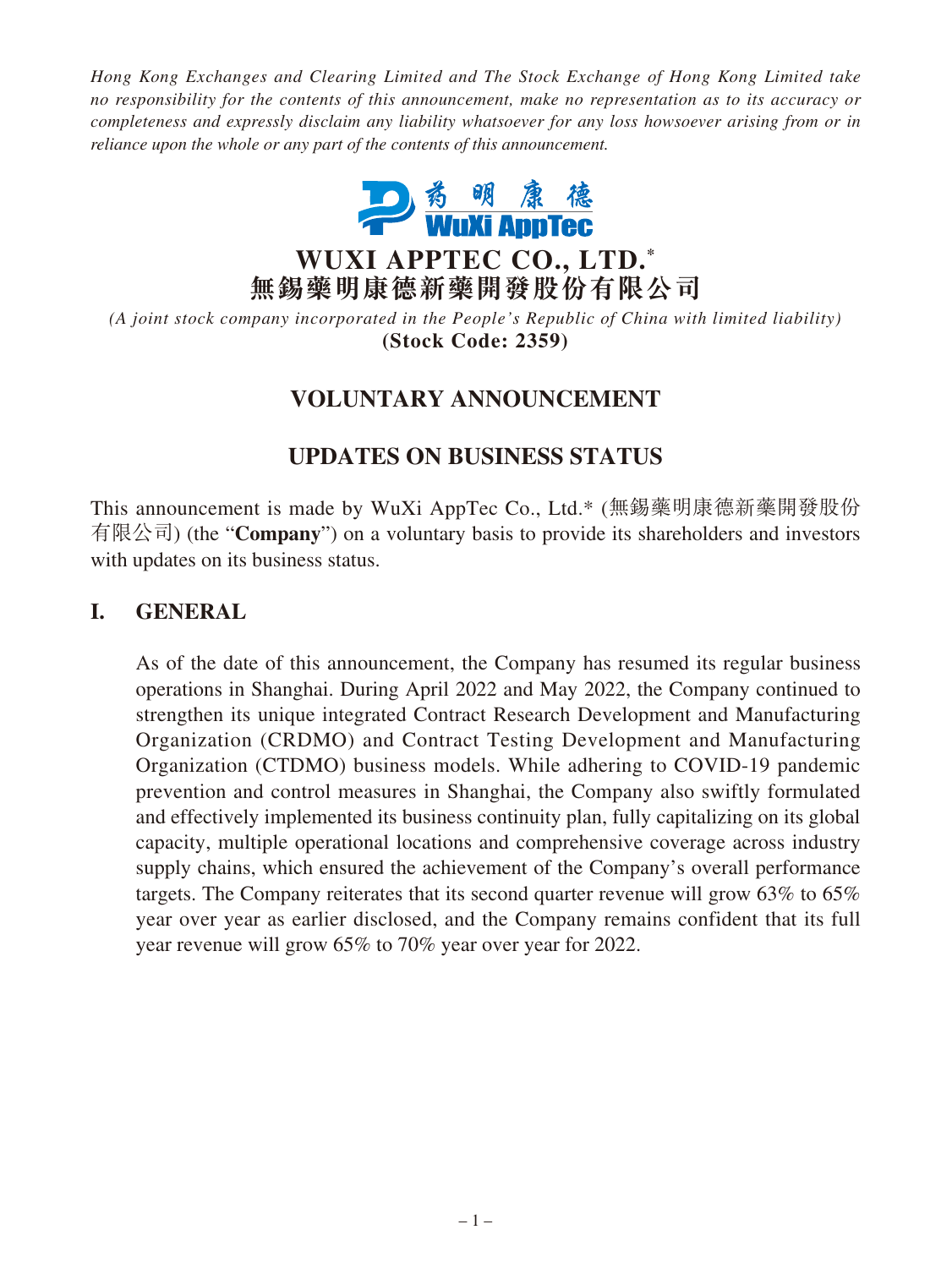*Hong Kong Exchanges and Clearing Limited and The Stock Exchange of Hong Kong Limited take no responsibility for the contents of this announcement, make no representation as to its accuracy or completeness and expressly disclaim any liability whatsoever for any loss howsoever arising from or in reliance upon the whole or any part of the contents of this announcement.*



**WUXI APPTEC CO., LTD. \* 無錫藥明康德新藥開發股份有限公司**

*(A joint stock company incorporated in the People's Republic of China with limited liability)* **(Stock Code: 2359)**

## **VOLUNTARY ANNOUNCEMENT**

## **UPDATES ON BUSINESS STATUS**

This announcement is made by WuXi AppTec Co., Ltd.\* (無錫藥明康德新藥開發股份 有限公司) (the "**Company**") on a voluntary basis to provide its shareholders and investors with updates on its business status.

## **I. GENERAL**

As of the date of this announcement, the Company has resumed its regular business operations in Shanghai. During April 2022 and May 2022, the Company continued to strengthen its unique integrated Contract Research Development and Manufacturing Organization (CRDMO) and Contract Testing Development and Manufacturing Organization (CTDMO) business models. While adhering to COVID-19 pandemic prevention and control measures in Shanghai, the Company also swiftly formulated and effectively implemented its business continuity plan, fully capitalizing on its global capacity, multiple operational locations and comprehensive coverage across industry supply chains, which ensured the achievement of the Company's overall performance targets. The Company reiterates that its second quarter revenue will grow 63% to 65% year over year as earlier disclosed, and the Company remains confident that its full year revenue will grow 65% to 70% year over year for 2022.